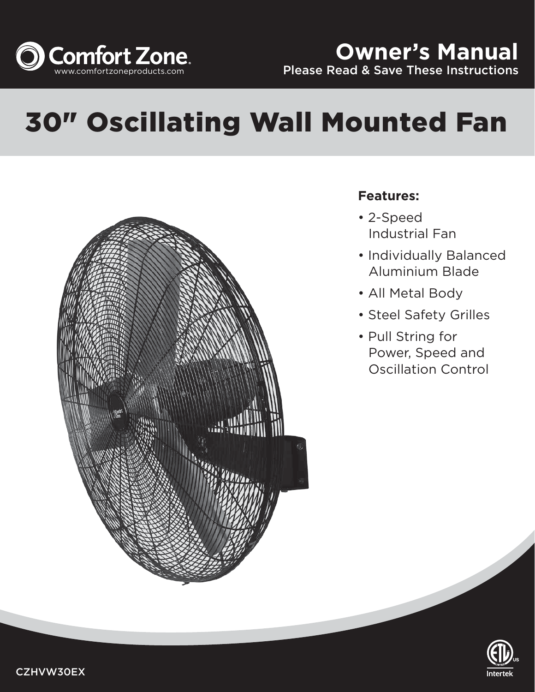

# 30" Oscillating Wall Mounted Fan



# **Features:**

- 2-Speed Industrial Fan
- Individually Balanced Aluminium Blade
- All Metal Body
- Steel Safety Grilles
- Pull String for Power, Speed and Oscillation Control

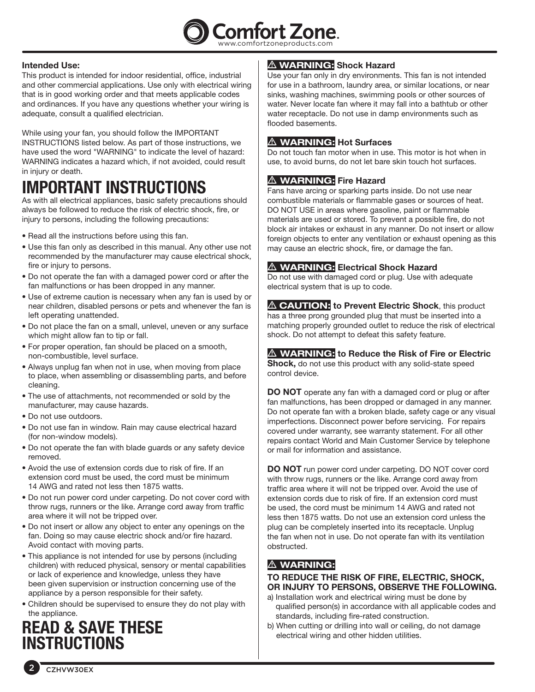

## **Intended Use:**

This product is intended for indoor residential, office, industrial and other commercial applications. Use only with electrical wiring that is in good working order and that meets applicable codes and ordinances. If you have any questions whether your wiring is adequate, consult a qualified electrician.

While using your fan, you should follow the IMPORTANT INSTRUCTIONS listed below. As part of those instructions, we have used the word "WARNING" to indicate the level of hazard: WARNING indicates a hazard which, if not avoided, could result in injury or death.

# **IMPORTANT INSTRUCTIONS**

As with all electrical appliances, basic safety precautions should always be followed to reduce the risk of electric shock, fire, or injury to persons, including the following precautions:

- Read all the instructions before using this fan.
- Use this fan only as described in this manual. Any other use not recommended by the manufacturer may cause electrical shock, fire or injury to persons.
- Do not operate the fan with a damaged power cord or after the fan malfunctions or has been dropped in any manner.
- Use of extreme caution is necessary when any fan is used by or near children, disabled persons or pets and whenever the fan is left operating unattended.
- Do not place the fan on a small, unlevel, uneven or any surface which might allow fan to tip or fall.
- For proper operation, fan should be placed on a smooth, non‑combustible, level surface.
- Always unplug fan when not in use, when moving from place to place, when assembling or disassembling parts, and before cleaning.
- The use of attachments, not recommended or sold by the manufacturer, may cause hazards.
- Do not use outdoors.
- Do not use fan in window. Rain may cause electrical hazard (for non-window models).
- Do not operate the fan with blade guards or any safety device removed.
- Avoid the use of extension cords due to risk of fire. If an extension cord must be used, the cord must be minimum 14 AWG and rated not less then 1875 watts.
- Do not run power cord under carpeting. Do not cover cord with throw rugs, runners or the like. Arrange cord away from traffic area where it will not be tripped over.
- Do not insert or allow any object to enter any openings on the fan. Doing so may cause electric shock and/or fire hazard. Avoid contact with moving parts.
- This appliance is not intended for use by persons (including children) with reduced physical, sensory or mental capabilities or lack of experience and knowledge, unless they have been given supervision or instruction concerning use of the appliance by a person responsible for their safety.
- Children should be supervised to ensure they do not play with the appliance.

# **READ & SAVE THESE INSTRUCTIONS**

# m **WARNING: Shock Hazard**

Use your fan only in dry environments. This fan is not intended for use in a bathroom, laundry area, or similar locations, or near sinks, washing machines, swimming pools or other sources of water. Never locate fan where it may fall into a bathtub or other water receptacle. Do not use in damp environments such as flooded basements.

# m **WARNING: Hot Surfaces**

Do not touch fan motor when in use. This motor is hot when in use, to avoid burns, do not let bare skin touch hot surfaces.

# $\triangle$  **WARNING:** Fire Hazard

Fans have arcing or sparking parts inside. Do not use near combustible materials or flammable gases or sources of heat. DO NOT USE in areas where gasoline, paint or flammable materials are used or stored. To prevent a possible fire, do not block air intakes or exhaust in any manner. Do not insert or allow foreign objects to enter any ventilation or exhaust opening as this may cause an electric shock, fire, or damage the fan.

# $\triangle$  **WARNING:** Electrical Shock Hazard

Do not use with damaged cord or plug. Use with adequate electrical system that is up to code.

**A CAUTION:** to Prevent Electric Shock, this product has a three prong grounded plug that must be inserted into a matching properly grounded outlet to reduce the risk of electrical shock. Do not attempt to defeat this safety feature.

# m **WARNING: to Reduce the Risk of Fire or Electric**

**Shock,** do not use this product with any solid-state speed control device.

**DO NOT** operate any fan with a damaged cord or plug or after fan malfunctions, has been dropped or damaged in any manner. Do not operate fan with a broken blade, safety cage or any visual imperfections. Disconnect power before servicing. For repairs covered under warranty, see warranty statement. For all other repairs contact World and Main Customer Service by telephone or mail for information and assistance.

**DO NOT** run power cord under carpeting. DO NOT cover cord with throw rugs, runners or the like. Arrange cord away from traffic area where it will not be tripped over. Avoid the use of extension cords due to risk of fire. If an extension cord must be used, the cord must be minimum 14 AWG and rated not less then 1875 watts. Do not use an extension cord unless the plug can be completely inserted into its receptacle. Unplug the fan when not in use. Do not operate fan with its ventilation obstructed.

# $\triangle$  **WARNING:**

## **TO REDUCE THE RISK OF FIRE, ELECTRIC, SHOCK, OR INJURY TO PERSONS, OBSERVE THE FOLLOWING.**

- a) Installation work and electrical wiring must be done by qualified person(s) in accordance with all applicable codes and standards, including fire-rated construction.
- b) When cutting or drilling into wall or ceiling, do not damage electrical wiring and other hidden utilities.

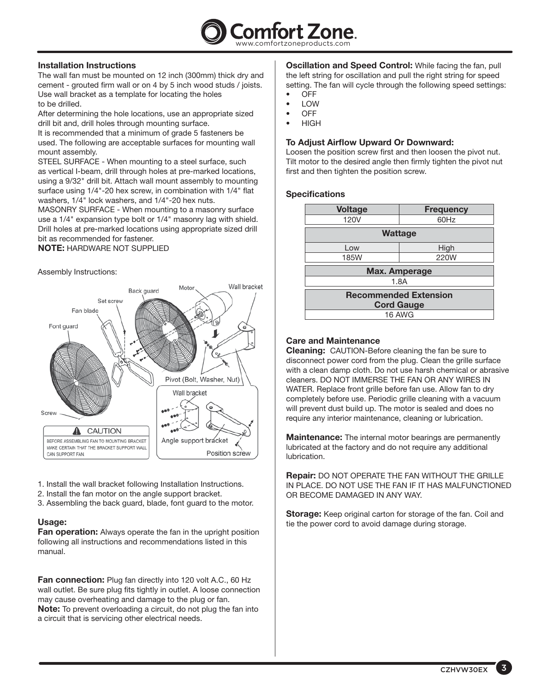

#### **Installation Instructions**

The wall fan must be mounted on 12 inch (300mm) thick dry and cement - grouted firm wall or on 4 by 5 inch wood studs / joists. Use wall bracket as a template for locating the holes to be drilled.

After determining the hole locations, use an appropriate sized drill bit and, drill holes through mounting surface.

It is recommended that a minimum of grade 5 fasteners be used. The following are acceptable surfaces for mounting wall mount assembly.

STEEL SURFACE - When mounting to a steel surface, such as vertical I-beam, drill through holes at pre-marked locations, using a 9/32" drill bit. Attach wall mount assembly to mounting surface using 1/4"-20 hex screw, in combination with 1/4" flat washers, 1/4" lock washers, and 1/4"-20 hex nuts.

MASONRY SURFACE - When mounting to a masonry surface use a 1/4" expansion type bolt or 1/4" masonry lag with shield. Drill holes at pre-marked locations using appropriate sized drill bit as recommended for fastener.

#### **NOTE:** HARDWARE NOT SUPPLIED

Assembly Instructions:



- 1. Install the wall bracket following Installation Instructions.
- 2. Install the fan motor on the angle support bracket.
- 3. Assembling the back guard, blade, font guard to the motor.

#### **Usage:**

**Fan operation:** Always operate the fan in the upright position following all instructions and recommendations listed in this manual.

**Fan connection:** Plug fan directly into 120 volt A.C., 60 Hz wall outlet. Be sure plug fits tightly in outlet. A loose connection may cause overheating and damage to the plug or fan. **Note:** To prevent overloading a circuit, do not plug the fan into a circuit that is servicing other electrical needs.

**Oscillation and Speed Control:** While facing the fan, pull the left string for oscillation and pull the right string for speed setting. The fan will cycle through the following speed settings: • OFF

- LOW
- OFF
- HIGH

### **To Adjust Airflow Upward Or Downward:**

Loosen the position screw first and then loosen the pivot nut. Tilt motor to the desired angle then firmly tighten the pivot nut first and then tighten the position screw.

### **Specifications**

| <b>Voltage</b>                                    | <b>Frequency</b> |
|---------------------------------------------------|------------------|
| 120V                                              | 60Hz             |
| <b>Wattage</b>                                    |                  |
| Low                                               | High             |
| <b>185W</b>                                       | 220W             |
| <b>Max. Amperage</b>                              |                  |
| 1.8A                                              |                  |
| <b>Recommended Extension</b><br><b>Cord Gauge</b> |                  |
| 16 AWG                                            |                  |

### **Care and Maintenance**

**Cleaning:** CAUTION-Before cleaning the fan be sure to disconnect power cord from the plug. Clean the grille surface with a clean damp cloth. Do not use harsh chemical or abrasive cleaners. DO NOT IMMERSE THE FAN OR ANY WIRES IN WATER. Replace front grille before fan use. Allow fan to dry completely before use. Periodic grille cleaning with a vacuum will prevent dust build up. The motor is sealed and does no require any interior maintenance, cleaning or lubrication.

**Maintenance:** The internal motor bearings are permanently lubricated at the factory and do not require any additional lubrication.

**Repair:** DO NOT OPERATE THE FAN WITHOUT THE GRILLE IN PLACE. DO NOT USE THE FAN IF IT HAS MALFUNCTIONED OR BECOME DAMAGED IN ANY WAY.

**Storage:** Keep original carton for storage of the fan. Coil and tie the power cord to avoid damage during storage.